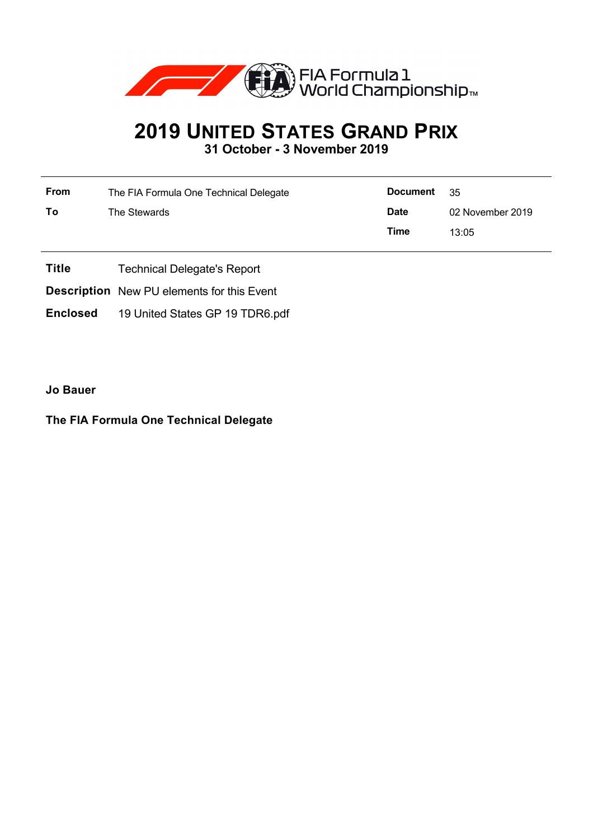

## **2019 UNITED STATES GRAND PRIX**

**31 October - 3 November 2019**

| From | The FIA Formula One Technical Delegate | <b>Document</b> | - 35             |
|------|----------------------------------------|-----------------|------------------|
| To   | The Stewards                           | <b>Date</b>     | 02 November 2019 |
|      |                                        | Time            | 13:05            |

- **Title** Technical Delegate's Report
- **Description** New PU elements for this Event
- **Enclosed** 19 United States GP 19 TDR6.pdf

**Jo Bauer**

## **The FIA Formula One Technical Delegate**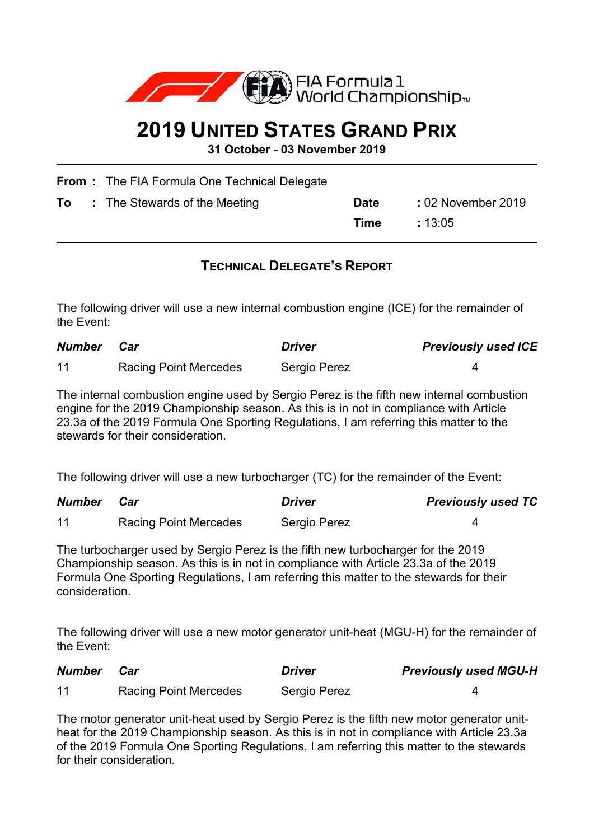

## **2019 UNITED STATES GRAND PRIX**

**31 October - 03 November 2019**

|    | <b>From:</b> The FIA Formula One Technical Delegate |             |                    |
|----|-----------------------------------------------------|-------------|--------------------|
| To | : The Stewards of the Meeting                       | <b>Date</b> | : 02 November 2019 |
|    |                                                     | Time        | :13.05             |
|    |                                                     |             |                    |

## **TECHNICAL DELEGATE'S REPORT**

The following driver will use a new internal combustion engine (ICE) for the remainder of the Event:

| <b>Number</b> | Car                          | <i>Driver</i> | <b>Previously used ICE</b> |
|---------------|------------------------------|---------------|----------------------------|
| 11            | <b>Racing Point Mercedes</b> | Sergio Perez  |                            |

The internal combustion engine used by Sergio Perez is the fifth new internal combustion engine for the 2019 Championship season. As this is in not in compliance with Article 23.3a of the 2019 Formula One Sporting Regulations, I am referring this matter to the stewards for their consideration.

The following driver will use a new turbocharger (TC) for the remainder of the Event:

| Number | Car                          | <b>Driver</b> | <b>Previously used TC</b> |
|--------|------------------------------|---------------|---------------------------|
| 11     | <b>Racing Point Mercedes</b> | Sergio Perez  |                           |

The turbocharger used by Sergio Perez is the fifth new turbocharger for the 2019 Championship season. As this is in not in compliance with Article 23.3a of the 2019 Formula One Sporting Regulations, I am referring this matter to the stewards for their consideration.

The following driver will use a new motor generator unit-heat (MGU-H) for the remainder of the Event:

| <b>Number</b> | Car                          | <b>Driver</b> | <b>Previously used MGU-H</b> |
|---------------|------------------------------|---------------|------------------------------|
| 11            | <b>Racing Point Mercedes</b> | Sergio Perez  |                              |

The motor generator unit-heat used by Sergio Perez is the fifth new motor generator unitheat for the 2019 Championship season. As this is in not in compliance with Article 23.3a of the 2019 Formula One Sporting Regulations, I am referring this matter to the stewards for their consideration